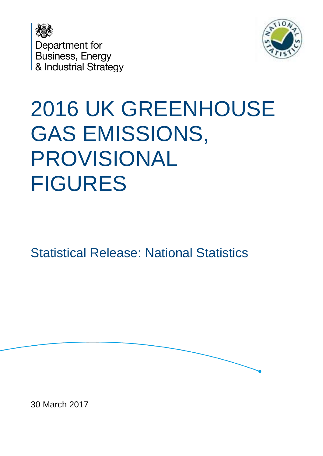



# 2016 UK GREENHOUSE GAS EMISSIONS, PROVISIONAL FIGURES

Statistical Release: National Statistics

30 March 2017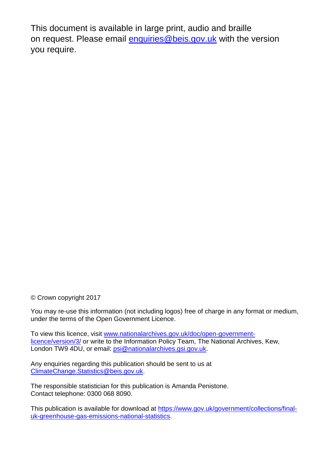This document is available in large print, audio and braille on request. Please email [enquiries@beis.gov.uk](mailto:enquiries@beis.gov.uk) with the version you require.

© Crown copyright 2017

You may re-use this information (not including logos) free of charge in any format or medium, under the terms of the Open Government Licence.

To view this licence, visit [www.nationalarchives.gov.uk/doc/open-government](http://www.nationalarchives.gov.uk/doc/open-government-licence/version/3/)[licence/version/3/](http://www.nationalarchives.gov.uk/doc/open-government-licence/version/3/) or write to the Information Policy Team, The National Archives, Kew, London TW9 4DU, or email: [psi@nationalarchives.gsi.gov.uk.](mailto:psi@nationalarchives.gsi.gov.uk)

Any enquiries regarding this publication should be sent to us at [ClimateChange.Statistics@beis.gov.uk.](mailto:ClimateChange.Statistics@beis.gov.uk)

The responsible statistician for this publication is Amanda Penistone. Contact telephone: 0300 068 8090.

This publication is available for download at [https://www.gov.uk/government/collections/final](https://www.gov.uk/government/collections/final-uk-greenhouse-gas-emissions-national-statistics)[uk-greenhouse-gas-emissions-national-statistics.](https://www.gov.uk/government/collections/final-uk-greenhouse-gas-emissions-national-statistics)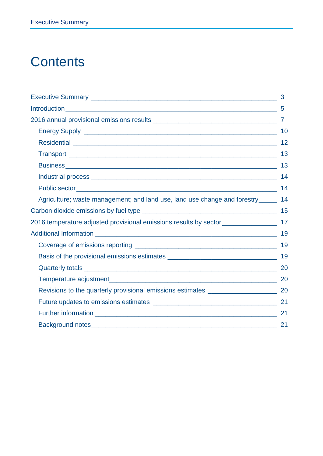# **Contents**

|                                                                                         | 5  |
|-----------------------------------------------------------------------------------------|----|
|                                                                                         |    |
|                                                                                         | 10 |
|                                                                                         | 12 |
|                                                                                         | 13 |
|                                                                                         |    |
|                                                                                         |    |
|                                                                                         | 14 |
| Agriculture; waste management; and land use, land use change and forestry______         | 14 |
|                                                                                         |    |
| 2016 temperature adjusted provisional emissions results by sector __________________ 17 |    |
|                                                                                         |    |
|                                                                                         |    |
|                                                                                         |    |
|                                                                                         |    |
|                                                                                         |    |
|                                                                                         |    |
|                                                                                         |    |
|                                                                                         | 21 |
|                                                                                         |    |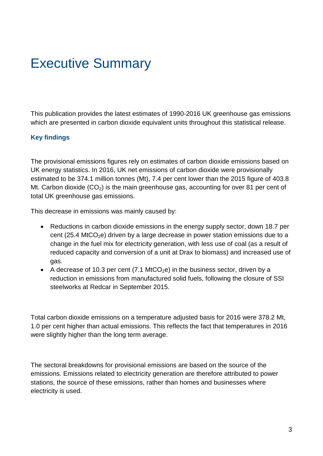# <span id="page-3-0"></span>Executive Summary

This publication provides the latest estimates of 1990-2016 UK greenhouse gas emissions which are presented in carbon dioxide equivalent units throughout this statistical release.

#### **Key findings**

The provisional emissions figures rely on estimates of carbon dioxide emissions based on UK energy statistics. In 2016, UK net emissions of carbon dioxide were provisionally estimated to be 374.1 million tonnes (Mt), 7.4 per cent lower than the 2015 figure of 403.8 Mt. Carbon dioxide  $(CO_2)$  is the main greenhouse gas, accounting for over 81 per cent of total UK greenhouse gas emissions.

This decrease in emissions was mainly caused by:

- Reductions in carbon dioxide emissions in the energy supply sector, down 18.7 per cent (25.4 MtCO<sub>2</sub>e) driven by a large decrease in power station emissions due to a change in the fuel mix for electricity generation, with less use of coal (as a result of reduced capacity and conversion of a unit at Drax to biomass) and increased use of gas.
- A decrease of 10.3 per cent (7.1 MtCO<sub>2</sub>e) in the business sector, driven by a reduction in emissions from manufactured solid fuels, following the closure of SSI steelworks at Redcar in September 2015.

Total carbon dioxide emissions on a temperature adjusted basis for 2016 were 378.2 Mt, 1.0 per cent higher than actual emissions. This reflects the fact that temperatures in 2016 were slightly higher than the long term average.

The sectoral breakdowns for provisional emissions are based on the source of the emissions. Emissions related to electricity generation are therefore attributed to power stations, the source of these emissions, rather than homes and businesses where electricity is used.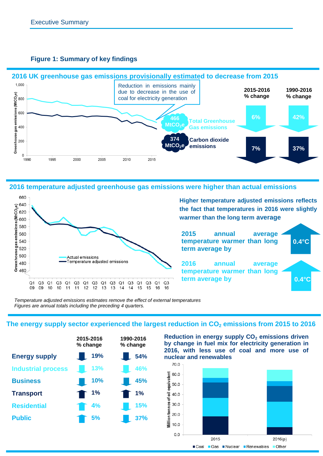

#### **Figure 1: Summary of key findings**

**2016 temperature adjusted greenhouse gas emissions were higher than actual emissions**



**Higher temperature adjusted emissions reflects the fact that temperatures in 2016 were slightly warmer than the long term average**

**2015 annual average temperature warmer than long term average by**

**2016 annual average temperature warmer than long term average by**



*Temperature adjusted emissions estimates remove the effect of external temperatures Figures are annual totals including the preceding 4 quarters.*

#### **The energy supply sector experienced the largest reduction in CO<sup>2</sup> emissions from 2015 to 2016**



**Reduction in energy supply CO<sup>2</sup> emissions driven by change in fuel mix for electricity generation in 2016, with less use of coal and more use of nuclear and renewables**

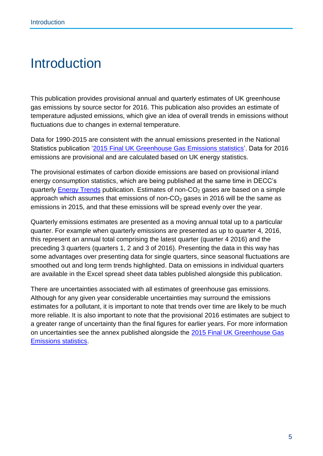# <span id="page-5-0"></span>Introduction

This publication provides provisional annual and quarterly estimates of UK greenhouse gas emissions by source sector for 2016. This publication also provides an estimate of temperature adjusted emissions, which give an idea of overall trends in emissions without fluctuations due to changes in external temperature.

Data for 1990-2015 are consistent with the annual emissions presented in the National Statistics publication '2015 [Final UK Greenhouse Gas Emissions statistics'](https://www.gov.uk/government/collections/final-uk-greenhouse-gas-emissions-national-statistics). Data for 2016 emissions are provisional and are calculated based on UK energy statistics.

The provisional estimates of carbon dioxide emissions are based on provisional inland energy consumption statistics, which are being published at the same time in DECC's quarterly **Energy Trends** publication. Estimates of non- $CO<sub>2</sub>$  gases are based on a simple approach which assumes that emissions of non- $CO<sub>2</sub>$  gases in 2016 will be the same as emissions in 2015, and that these emissions will be spread evenly over the year.

Quarterly emissions estimates are presented as a moving annual total up to a particular quarter. For example when quarterly emissions are presented as up to quarter 4, 2016, this represent an annual total comprising the latest quarter (quarter 4 2016) and the preceding 3 quarters (quarters 1, 2 and 3 of 2016). Presenting the data in this way has some advantages over presenting data for single quarters, since seasonal fluctuations are smoothed out and long term trends highlighted. Data on emissions in individual quarters are available in the Excel spread sheet data tables published alongside this publication.

There are uncertainties associated with all estimates of greenhouse gas emissions. Although for any given year considerable uncertainties may surround the emissions estimates for a pollutant, it is important to note that trends over time are likely to be much more reliable. It is also important to note that the provisional 2016 estimates are subject to a greater range of uncertainty than the final figures for earlier years. For more information on uncertainties see the annex published alongside the 2015 [Final UK Greenhouse Gas](https://www.gov.uk/government/collections/final-uk-greenhouse-gas-emissions-national-statistics)  [Emissions statistics.](https://www.gov.uk/government/collections/final-uk-greenhouse-gas-emissions-national-statistics)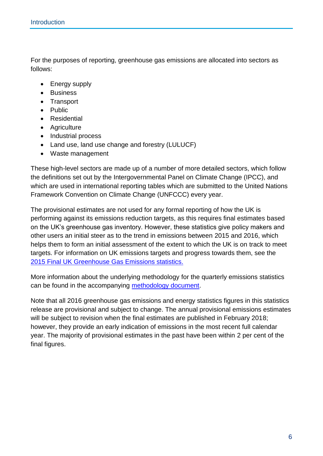For the purposes of reporting, greenhouse gas emissions are allocated into sectors as follows:

- Energy supply
- Business
- Transport
- Public
- Residential
- Agriculture
- Industrial process
- Land use, land use change and forestry (LULUCF)
- Waste management

These high-level sectors are made up of a number of more detailed sectors, which follow the definitions set out by the Intergovernmental Panel on Climate Change (IPCC), and which are used in international reporting tables which are submitted to the United Nations Framework Convention on Climate Change (UNFCCC) every year.

The provisional estimates are not used for any formal reporting of how the UK is performing against its emissions reduction targets, as this requires final estimates based on the UK's greenhouse gas inventory. However, these statistics give policy makers and other users an initial steer as to the trend in emissions between 2015 and 2016, which helps them to form an initial assessment of the extent to which the UK is on track to meet targets. For information on UK emissions targets and progress towards them, see the 2015 [Final UK Greenhouse Gas Emissions statistics.](https://www.gov.uk/government/collections/final-uk-greenhouse-gas-emissions-national-statistics)

More information about the underlying methodology for the quarterly emissions statistics can be found in the accompanying [methodology document.](https://www.gov.uk/government/uploads/system/uploads/attachment_data/file/361727/UK_Greenhouse_Gas_Quarterly_Emissions_Methodology.pdf)

Note that all 2016 greenhouse gas emissions and energy statistics figures in this statistics release are provisional and subject to change. The annual provisional emissions estimates will be subject to revision when the final estimates are published in February 2018; however, they provide an early indication of emissions in the most recent full calendar year. The majority of provisional estimates in the past have been within 2 per cent of the final figures.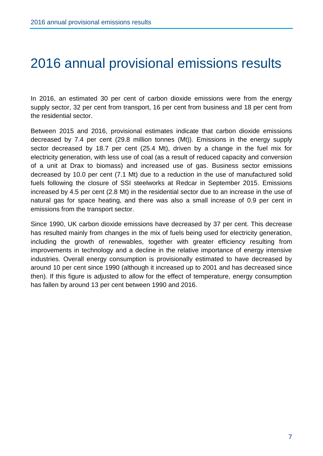# <span id="page-7-0"></span>2016 annual provisional emissions results

In 2016, an estimated 30 per cent of carbon dioxide emissions were from the energy supply sector, 32 per cent from transport, 16 per cent from business and 18 per cent from the residential sector.

Between 2015 and 2016, provisional estimates indicate that carbon dioxide emissions decreased by 7.4 per cent (29.8 million tonnes (Mt)). Emissions in the energy supply sector decreased by 18.7 per cent (25.4 Mt), driven by a change in the fuel mix for electricity generation, with less use of coal (as a result of reduced capacity and conversion of a unit at Drax to biomass) and increased use of gas. Business sector emissions decreased by 10.0 per cent (7.1 Mt) due to a reduction in the use of manufactured solid fuels following the closure of SSI steelworks at Redcar in September 2015. Emissions increased by 4.5 per cent (2.8 Mt) in the residential sector due to an increase in the use of natural gas for space heating, and there was also a small increase of 0.9 per cent in emissions from the transport sector.

Since 1990, UK carbon dioxide emissions have decreased by 37 per cent. This decrease has resulted mainly from changes in the mix of fuels being used for electricity generation, including the growth of renewables, together with greater efficiency resulting from improvements in technology and a decline in the relative importance of energy intensive industries. Overall energy consumption is provisionally estimated to have decreased by around 10 per cent since 1990 (although it increased up to 2001 and has decreased since then). If this figure is adjusted to allow for the effect of temperature, energy consumption has fallen by around 13 per cent between 1990 and 2016.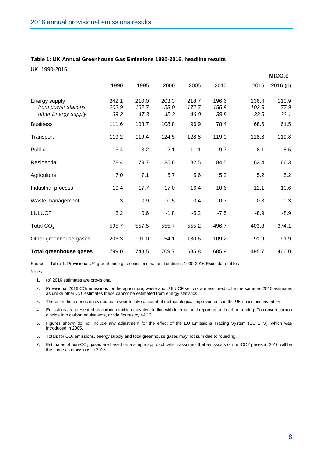| Table 1: UK Annual Greenhouse Gas Emissions 1990-2016, headline results |  |  |  |  |
|-------------------------------------------------------------------------|--|--|--|--|
|-------------------------------------------------------------------------|--|--|--|--|

UK, 1990-2016

|                                                             |                        |                        |                        |                        |                        |                        | MtCO <sub>2</sub> e   |
|-------------------------------------------------------------|------------------------|------------------------|------------------------|------------------------|------------------------|------------------------|-----------------------|
|                                                             | 1990                   | 1995                   | 2000                   | 2005                   | 2010                   | 2015                   | 2016(p)               |
| Energy supply<br>from power stations<br>other Energy supply | 242.1<br>202.9<br>39.2 | 210.0<br>162.7<br>47.3 | 203.3<br>158.0<br>45.3 | 218.7<br>172.7<br>46.0 | 196.6<br>156.9<br>39.8 | 136.4<br>102.9<br>33.5 | 110.9<br>77.9<br>33.1 |
| <b>Business</b>                                             | 111.6                  | 108.7                  | 108.8                  | 96.9                   | 78.4                   | 68.6                   | 61.5                  |
| Transport                                                   | 119.2                  | 119.4                  | 124.5                  | 128.8                  | 119.0                  | 118.8                  | 119.8                 |
| Public                                                      | 13.4                   | 13.2                   | 12.1                   | 11.1                   | 9.7                    | 8.1                    | 8.5                   |
| Residential                                                 | 78.4                   | 79.7                   | 85.6                   | 82.5                   | 84.5                   | 63.4                   | 66.3                  |
| Agriculture                                                 | 7.0                    | 7.1                    | 5.7                    | 5.6                    | 5.2                    | 5.2                    | 5.2                   |
| Industrial process                                          | 19.4                   | 17.7                   | 17.0                   | 16.4                   | 10.6                   | 12.1                   | 10.6                  |
| Waste management                                            | 1.3                    | 0.9                    | 0.5                    | 0.4                    | 0.3                    | 0.3                    | 0.3                   |
| <b>LULUCF</b>                                               | 3.2                    | 0.6                    | $-1.8$                 | $-5.2$                 | $-7.5$                 | $-8.9$                 | $-8.9$                |
| Total $CO2$                                                 | 595.7                  | 557.5                  | 555.7                  | 555.2                  | 496.7                  | 403.8                  | 374.1                 |
| Other greenhouse gases                                      | 203.3                  | 191.0                  | 154.1                  | 130.6                  | 109.2                  | 91.9                   | 91.9                  |
| <b>Total greenhouse gases</b>                               | 799.0                  | 748.5                  | 709.7                  | 685.8                  | 605.9                  | 495.7                  | 466.0                 |

Source: Table 1, Provisional UK greenhouse gas emissions national statistics 1990-2016 Excel data tables

Notes:

- 1. (p) 2016 estimates are provisional.
- 2. Provisional 2016 CO<sub>2</sub> emissions for the agriculture, waste and LULUCF sectors are assumed to be the same as 2015 estimates as unlike other  $CO<sub>2</sub>$  estimates these cannot be estimated from energy statistics.
- 3. The entire time series is revised each year to take account of methodological improvements in the UK emissions inventory.
- 4. Emissions are presented as carbon dioxide equivalent in line with international reporting and carbon trading. To convert carbon dioxide into carbon equivalents, divide figures by 44/12.
- 5. Figures shown do not include any adjustment for the effect of the EU Emissions Trading System (EU ETS), which was introduced in 2005.
- 6. Totals for  $CO<sub>2</sub>$  emissions, energy supply and total greenhouse gases may not sum due to rounding.
- 7. Estimates of non-CO<sub>2</sub> gases are based on a simple approach which assumes that emissions of non-CO2 gases in 2016 will be the same as emissions in 2015.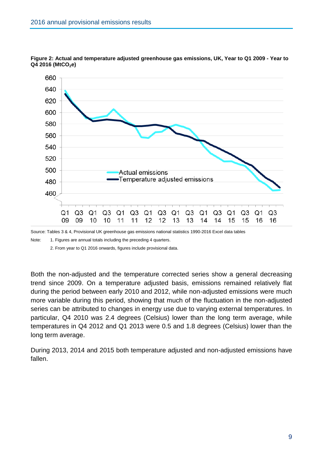

**Figure 2: Actual and temperature adjusted greenhouse gas emissions, UK, Year to Q1 2009 - Year to Q4 2016 (MtCO2e)**

Source: Tables 3 & 4, Provisional UK greenhouse gas emissions national statistics 1990-2016 Excel data tables

Note: 1. Figures are annual totals including the preceding 4 quarters.

2. From year to Q1 2016 onwards, figures include provisional data.

Both the non-adjusted and the temperature corrected series show a general decreasing trend since 2009. On a temperature adjusted basis, emissions remained relatively flat during the period between early 2010 and 2012, while non-adjusted emissions were much more variable during this period, showing that much of the fluctuation in the non-adjusted series can be attributed to changes in energy use due to varying external temperatures. In particular, Q4 2010 was 2.4 degrees (Celsius) lower than the long term average, while temperatures in Q4 2012 and Q1 2013 were 0.5 and 1.8 degrees (Celsius) lower than the long term average.

During 2013, 2014 and 2015 both temperature adjusted and non-adjusted emissions have fallen.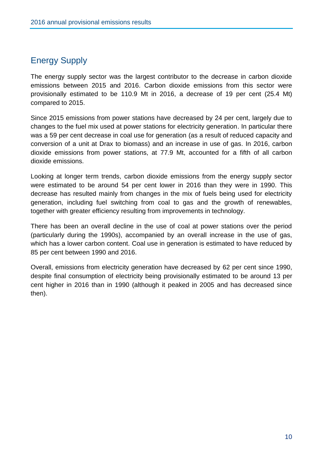# <span id="page-10-0"></span>Energy Supply

The energy supply sector was the largest contributor to the decrease in carbon dioxide emissions between 2015 and 2016. Carbon dioxide emissions from this sector were provisionally estimated to be 110.9 Mt in 2016, a decrease of 19 per cent (25.4 Mt) compared to 2015.

Since 2015 emissions from power stations have decreased by 24 per cent, largely due to changes to the fuel mix used at power stations for electricity generation. In particular there was a 59 per cent decrease in coal use for generation (as a result of reduced capacity and conversion of a unit at Drax to biomass) and an increase in use of gas. In 2016, carbon dioxide emissions from power stations, at 77.9 Mt, accounted for a fifth of all carbon dioxide emissions.

Looking at longer term trends, carbon dioxide emissions from the energy supply sector were estimated to be around 54 per cent lower in 2016 than they were in 1990. This decrease has resulted mainly from changes in the mix of fuels being used for electricity generation, including fuel switching from coal to gas and the growth of renewables, together with greater efficiency resulting from improvements in technology.

There has been an overall decline in the use of coal at power stations over the period (particularly during the 1990s), accompanied by an overall increase in the use of gas, which has a lower carbon content. Coal use in generation is estimated to have reduced by 85 per cent between 1990 and 2016.

Overall, emissions from electricity generation have decreased by 62 per cent since 1990, despite final consumption of electricity being provisionally estimated to be around 13 per cent higher in 2016 than in 1990 (although it peaked in 2005 and has decreased since then).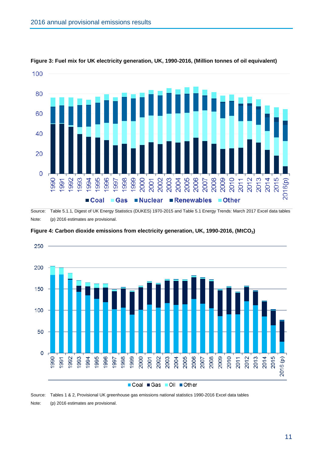

**Figure 3: Fuel mix for UK electricity generation, UK, 1990-2016, (Million tonnes of oil equivalent)**

Source: Table 5.1.1, Digest of UK Energy Statistics (DUKES) 1970-2015 and Table 5.1 Energy Trends: March 2017 Excel data tables Note: (p) 2016 estimates are provisional.



**Figure 4: Carbon dioxide emissions from electricity generation, UK, 1990-2016, (MtCO2)**

Source: Tables 1 & 2, Provisional UK greenhouse gas emissions national statistics 1990-2016 Excel data tables Note: (p) 2016 estimates are provisional.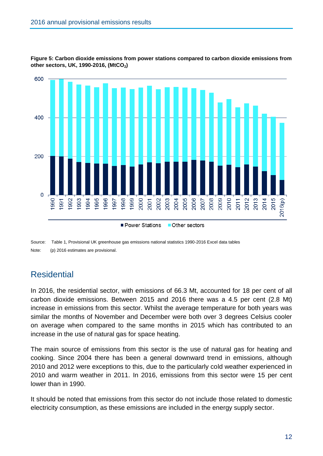

**Figure 5: Carbon dioxide emissions from power stations compared to carbon dioxide emissions from other sectors, UK, 1990-2016, (MtCO2)**

Source: Table 1, Provisional UK greenhouse gas emissions national statistics 1990-2016 Excel data tables Note: (p) 2016 estimates are provisional.

# <span id="page-12-0"></span>**Residential**

In 2016, the residential sector, with emissions of 66.3 Mt, accounted for 18 per cent of all carbon dioxide emissions. Between 2015 and 2016 there was a 4.5 per cent (2.8 Mt) increase in emissions from this sector. Whilst the average temperature for both years was similar the months of November and December were both over 3 degrees Celsius cooler on average when compared to the same months in 2015 which has contributed to an increase in the use of natural gas for space heating.

The main source of emissions from this sector is the use of natural gas for heating and cooking. Since 2004 there has been a general downward trend in emissions, although 2010 and 2012 were exceptions to this, due to the particularly cold weather experienced in 2010 and warm weather in 2011. In 2016, emissions from this sector were 15 per cent lower than in 1990.

It should be noted that emissions from this sector do not include those related to domestic electricity consumption, as these emissions are included in the energy supply sector.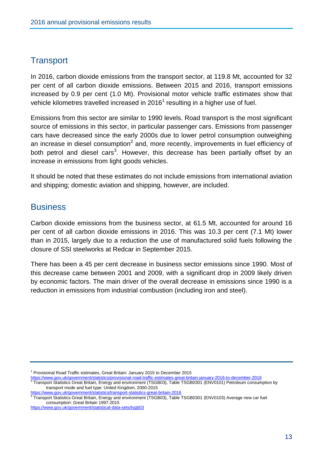# <span id="page-13-0"></span>**Transport**

In 2016, carbon dioxide emissions from the transport sector, at 119.8 Mt, accounted for 32 per cent of all carbon dioxide emissions. Between 2015 and 2016, transport emissions increased by 0.9 per cent (1.0 Mt). Provisional motor vehicle traffic estimates show that vehicle kilometres travelled increased in 2016<sup>1</sup> resulting in a higher use of fuel.

Emissions from this sector are similar to 1990 levels. Road transport is the most significant source of emissions in this sector, in particular passenger cars. Emissions from passenger cars have decreased since the early 2000s due to lower petrol consumption outweighing an increase in diesel consumption<sup>2</sup> and, more recently, improvements in fuel efficiency of both petrol and diesel cars<sup>3</sup>. However, this decrease has been partially offset by an increase in emissions from light goods vehicles.

It should be noted that these estimates do not include emissions from international aviation and shipping; domestic aviation and shipping, however, are included.

# <span id="page-13-1"></span>**Business**

Carbon dioxide emissions from the business sector, at 61.5 Mt, accounted for around 16 per cent of all carbon dioxide emissions in 2016. This was 10.3 per cent (7.1 Mt) lower than in 2015, largely due to a reduction the use of manufactured solid fuels following the closure of SSI steelworks at Redcar in September 2015.

There has been a 45 per cent decrease in business sector emissions since 1990. Most of this decrease came between 2001 and 2009, with a significant drop in 2009 likely driven by economic factors. The main driver of the overall decrease in emissions since 1990 is a reduction in emissions from industrial combustion (including iron and steel).

<https://www.gov.uk/government/statistics/provisional-road-traffic-estimates-great-britain-january-2016-to-december-2016><br><sup>2</sup> Treasport Statistics Creat Britain, Energy and anyiresment (TSCB03), Table TSCB0301 (EN)(0101) Det

<https://www.gov.uk/government/statistics/transport-statistics-great-britain-2016><br><sup>3</sup> Trensport Statistics Creat Britain, Epergy and environment (TSCB03), Table

Transport Statistics Great Britain, Energy and environment (TSGB03), Table TSGB0301 (ENV0103) Average new car fuel consumption: Great Britain 1997-2015

 $1$  Provisional Road Traffic estimates, Great Britain: January 2015 to December 2015

Transport Statistics Great Britain, Energy and environment (TSGB03), Table TSGB0301 (ENV0101) Petroleum consumption by transport mode and fuel type: United Kingdom, 2000-2015

<https://www.gov.uk/government/statistical-data-sets/tsgb03>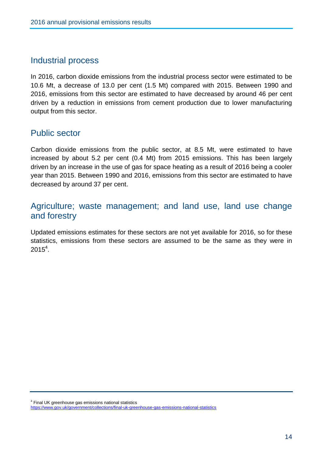#### <span id="page-14-0"></span>Industrial process

In 2016, carbon dioxide emissions from the industrial process sector were estimated to be 10.6 Mt, a decrease of 13.0 per cent (1.5 Mt) compared with 2015. Between 1990 and 2016, emissions from this sector are estimated to have decreased by around 46 per cent driven by a reduction in emissions from cement production due to lower manufacturing output from this sector.

### <span id="page-14-1"></span>Public sector

Carbon dioxide emissions from the public sector, at 8.5 Mt, were estimated to have increased by about 5.2 per cent (0.4 Mt) from 2015 emissions. This has been largely driven by an increase in the use of gas for space heating as a result of 2016 being a cooler year than 2015. Between 1990 and 2016, emissions from this sector are estimated to have decreased by around 37 per cent.

# <span id="page-14-2"></span>Agriculture; waste management; and land use, land use change and forestry

Updated emissions estimates for these sectors are not yet available for 2016, so for these statistics, emissions from these sectors are assumed to be the same as they were in  $2015<sup>4</sup>$ .

<sup>4</sup> Final UK greenhouse gas emissions national statistics

<https://www.gov.uk/government/collections/final-uk-greenhouse-gas-emissions-national-statistics>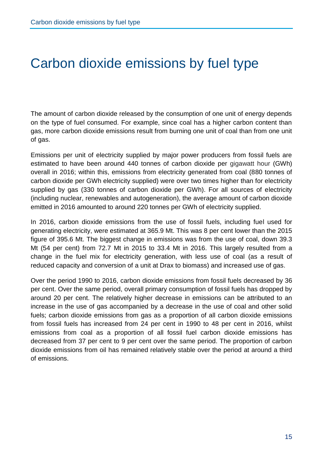# <span id="page-15-0"></span>Carbon dioxide emissions by fuel type

The amount of carbon dioxide released by the consumption of one unit of energy depends on the type of fuel consumed. For example, since coal has a higher carbon content than gas, more carbon dioxide emissions result from burning one unit of coal than from one unit of gas.

Emissions per unit of electricity supplied by major power producers from fossil fuels are estimated to have been around 440 tonnes of carbon dioxide per gigawatt hour (GWh) overall in 2016; within this, emissions from electricity generated from coal (880 tonnes of carbon dioxide per GWh electricity supplied) were over two times higher than for electricity supplied by gas (330 tonnes of carbon dioxide per GWh). For all sources of electricity (including nuclear, renewables and autogeneration), the average amount of carbon dioxide emitted in 2016 amounted to around 220 tonnes per GWh of electricity supplied.

In 2016, carbon dioxide emissions from the use of fossil fuels, including fuel used for generating electricity, were estimated at 365.9 Mt. This was 8 per cent lower than the 2015 figure of 395.6 Mt. The biggest change in emissions was from the use of coal, down 39.3 Mt (54 per cent) from 72.7 Mt in 2015 to 33.4 Mt in 2016. This largely resulted from a change in the fuel mix for electricity generation, with less use of coal (as a result of reduced capacity and conversion of a unit at Drax to biomass) and increased use of gas.

Over the period 1990 to 2016, carbon dioxide emissions from fossil fuels decreased by 36 per cent. Over the same period, overall primary consumption of fossil fuels has dropped by around 20 per cent. The relatively higher decrease in emissions can be attributed to an increase in the use of gas accompanied by a decrease in the use of coal and other solid fuels; carbon dioxide emissions from gas as a proportion of all carbon dioxide emissions from fossil fuels has increased from 24 per cent in 1990 to 48 per cent in 2016, whilst emissions from coal as a proportion of all fossil fuel carbon dioxide emissions has decreased from 37 per cent to 9 per cent over the same period. The proportion of carbon dioxide emissions from oil has remained relatively stable over the period at around a third of emissions.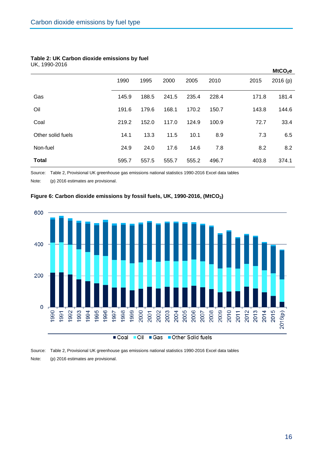#### **Table 2: UK Carbon dioxide emissions by fuel** UK, 1990-2016

|                   |       |       |       |       |       |       | MtCO <sub>2</sub> e |
|-------------------|-------|-------|-------|-------|-------|-------|---------------------|
|                   | 1990  | 1995  | 2000  | 2005  | 2010  | 2015  | 2016(p)             |
| Gas               | 145.9 | 188.5 | 241.5 | 235.4 | 228.4 | 171.8 | 181.4               |
| Oil               | 191.6 | 179.6 | 168.1 | 170.2 | 150.7 | 143.8 | 144.6               |
| Coal              | 219.2 | 152.0 | 117.0 | 124.9 | 100.9 | 72.7  | 33.4                |
| Other solid fuels | 14.1  | 13.3  | 11.5  | 10.1  | 8.9   | 7.3   | 6.5                 |
| Non-fuel          | 24.9  | 24.0  | 17.6  | 14.6  | 7.8   | 8.2   | 8.2                 |
| <b>Total</b>      | 595.7 | 557.5 | 555.7 | 555.2 | 496.7 | 403.8 | 374.1               |

Source: Table 2, Provisional UK greenhouse gas emissions national statistics 1990-2016 Excel data tables

Note: (p) 2016 estimates are provisional.



#### **Figure 6: Carbon dioxide emissions by fossil fuels, UK, 1990-2016, (MtCO2)**

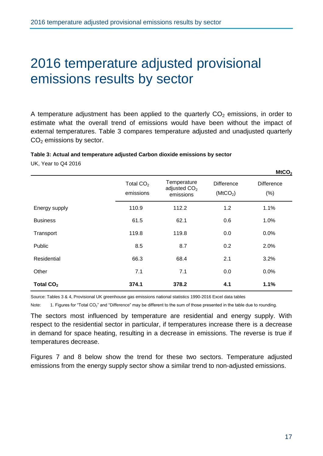# <span id="page-17-0"></span>2016 temperature adjusted provisional emissions results by sector

A temperature adjustment has been applied to the quarterly  $CO<sub>2</sub>$  emissions, in order to estimate what the overall trend of emissions would have been without the impact of external temperatures. Table 3 compares temperature adjusted and unadjusted quarterly  $CO<sub>2</sub>$  emissions by sector.

#### **Table 3: Actual and temperature adjusted Carbon dioxide emissions by sector**

UK, Year to Q4 2016

|                       |                          |                                            |                                           | $n\omega$                   |
|-----------------------|--------------------------|--------------------------------------------|-------------------------------------------|-----------------------------|
|                       | Total $CO2$<br>emissions | Temperature<br>adjusted $CO2$<br>emissions | <b>Difference</b><br>(MtCO <sub>2</sub> ) | <b>Difference</b><br>$(\%)$ |
| Energy supply         | 110.9                    | 112.2                                      | 1.2                                       | 1.1%                        |
| <b>Business</b>       | 61.5                     | 62.1                                       | 0.6                                       | 1.0%                        |
| Transport             | 119.8                    | 119.8                                      | 0.0                                       | 0.0%                        |
| Public                | 8.5                      | 8.7                                        | 0.2                                       | 2.0%                        |
| Residential           | 66.3                     | 68.4                                       | 2.1                                       | 3.2%                        |
| Other                 | 7.1                      | 7.1                                        | 0.0                                       | 0.0%                        |
| Total CO <sub>2</sub> | 374.1                    | 378.2                                      | 4.1                                       | 1.1%                        |

Source: Tables 3 & 4, Provisional UK greenhouse gas emissions national statistics 1990-2016 Excel data tables

Note: 1. Figures for "Total CO<sub>2</sub>" and "Difference" may be different to the sum of those presented in the table due to rounding.

The sectors most influenced by temperature are residential and energy supply. With respect to the residential sector in particular, if temperatures increase there is a decrease in demand for space heating, resulting in a decrease in emissions. The reverse is true if temperatures decrease.

Figures 7 and 8 below show the trend for these two sectors. Temperature adjusted emissions from the energy supply sector show a similar trend to non-adjusted emissions.

**MtCO<sup>2</sup>**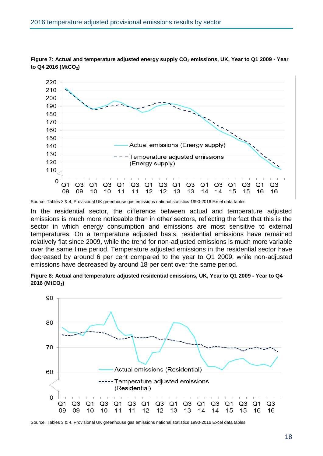

**Figure 7: Actual and temperature adjusted energy supply CO<sup>2</sup> emissions, UK, Year to Q1 2009 - Year to Q4 2016 (MtCO2)**

In the residential sector, the difference between actual and temperature adjusted emissions is much more noticeable than in other sectors, reflecting the fact that this is the sector in which energy consumption and emissions are most sensitive to external temperatures. On a temperature adjusted basis, residential emissions have remained relatively flat since 2009, while the trend for non-adjusted emissions is much more variable over the same time period. Temperature adjusted emissions in the residential sector have decreased by around 6 per cent compared to the year to Q1 2009, while non-adjusted emissions have decreased by around 18 per cent over the same period.





Source: Tables 3 & 4, Provisional UK greenhouse gas emissions national statistics 1990-2016 Excel data tables

Source: Tables 3 & 4, Provisional UK greenhouse gas emissions national statistics 1990-2016 Excel data tables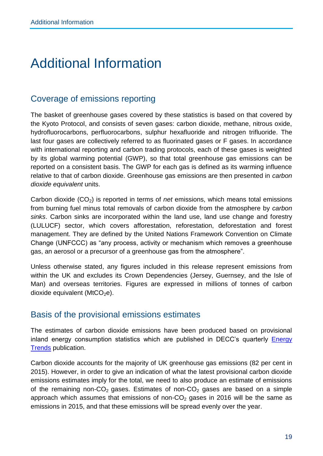# <span id="page-19-0"></span>Additional Information

# <span id="page-19-1"></span>Coverage of emissions reporting

The basket of greenhouse gases covered by these statistics is based on that covered by the Kyoto Protocol, and consists of seven gases: carbon dioxide, methane, nitrous oxide, hydrofluorocarbons, perfluorocarbons, sulphur hexafluoride and nitrogen trifluoride. The last four gases are collectively referred to as fluorinated gases or F gases. In accordance with international reporting and carbon trading protocols, each of these gases is weighted by its global warming potential (GWP), so that total greenhouse gas emissions can be reported on a consistent basis. The GWP for each gas is defined as its warming influence relative to that of carbon dioxide. Greenhouse gas emissions are then presented in *carbon dioxide equivalent* units.

Carbon dioxide (CO<sub>2</sub>) is reported in terms of *net* emissions, which means total emissions from burning fuel minus total removals of carbon dioxide from the atmosphere by *carbon sinks*. Carbon sinks are incorporated within the land use, land use change and forestry (LULUCF) sector, which covers afforestation, reforestation, deforestation and forest management. They are defined by the United Nations Framework Convention on Climate Change (UNFCCC) as "any process, activity or mechanism which removes a greenhouse gas, an aerosol or a precursor of a greenhouse gas from the atmosphere".

Unless otherwise stated, any figures included in this release represent emissions from within the UK and excludes its Crown Dependencies (Jersey, Guernsey, and the Isle of Man) and overseas territories. Figures are expressed in millions of tonnes of carbon dioxide equivalent (MtCO<sub>2</sub>e).

### <span id="page-19-2"></span>Basis of the provisional emissions estimates

The estimates of carbon dioxide emissions have been produced based on provisional inland energy consumption statistics which are published in DECC's quarterly **Energy** [Trends](https://www.gov.uk/government/organisations/department-of-energy-climate-change/series/energy-trends) publication.

Carbon dioxide accounts for the majority of UK greenhouse gas emissions (82 per cent in 2015). However, in order to give an indication of what the latest provisional carbon dioxide emissions estimates imply for the total, we need to also produce an estimate of emissions of the remaining non-CO<sub>2</sub> gases. Estimates of non-CO<sub>2</sub> gases are based on a simple approach which assumes that emissions of non- $CO<sub>2</sub>$  gases in 2016 will be the same as emissions in 2015, and that these emissions will be spread evenly over the year.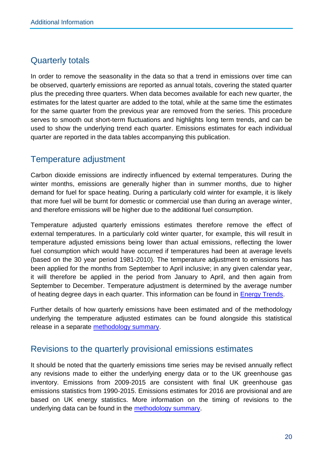# <span id="page-20-0"></span>Quarterly totals

In order to remove the seasonality in the data so that a trend in emissions over time can be observed, quarterly emissions are reported as annual totals, covering the stated quarter plus the preceding three quarters. When data becomes available for each new quarter, the estimates for the latest quarter are added to the total, while at the same time the estimates for the same quarter from the previous year are removed from the series. This procedure serves to smooth out short-term fluctuations and highlights long term trends, and can be used to show the underlying trend each quarter. Emissions estimates for each individual quarter are reported in the data tables accompanying this publication.

# <span id="page-20-1"></span>Temperature adjustment

Carbon dioxide emissions are indirectly influenced by external temperatures. During the winter months, emissions are generally higher than in summer months, due to higher demand for fuel for space heating. During a particularly cold winter for example, it is likely that more fuel will be burnt for domestic or commercial use than during an average winter, and therefore emissions will be higher due to the additional fuel consumption.

Temperature adjusted quarterly emissions estimates therefore remove the effect of external temperatures. In a particularly cold winter quarter, for example, this will result in temperature adjusted emissions being lower than actual emissions, reflecting the lower fuel consumption which would have occurred if temperatures had been at average levels (based on the 30 year period 1981-2010). The temperature adjustment to emissions has been applied for the months from September to April inclusive; in any given calendar year, it will therefore be applied in the period from January to April, and then again from September to December. Temperature adjustment is determined by the average number of heating degree days in each quarter. This information can be found in **Energy Trends**.

Further details of how quarterly emissions have been estimated and of the methodology underlying the temperature adjusted estimates can be found alongside this statistical release in a separate [methodology summary.](https://www.gov.uk/government/uploads/system/uploads/attachment_data/file/361727/UK_Greenhouse_Gas_Quarterly_Emissions_Methodology.pdf)

### <span id="page-20-2"></span>Revisions to the quarterly provisional emissions estimates

It should be noted that the quarterly emissions time series may be revised annually reflect any revisions made to either the underlying energy data or to the UK greenhouse gas inventory. Emissions from 2009-2015 are consistent with final UK greenhouse gas emissions statistics from 1990-2015. Emissions estimates for 2016 are provisional and are based on UK energy statistics. More information on the timing of revisions to the underlying data can be found in the [methodology summary.](https://www.gov.uk/government/uploads/system/uploads/attachment_data/file/48588/5088-uk-greenhouse-gas-quarterly-emissions-estimates-m.pdf)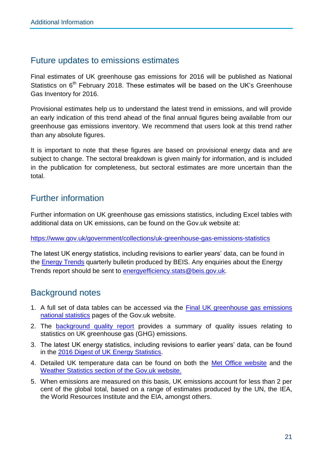### <span id="page-21-0"></span>Future updates to emissions estimates

Final estimates of UK greenhouse gas emissions for 2016 will be published as National Statistics on 6<sup>th</sup> February 2018. These estimates will be based on the UK's Greenhouse Gas Inventory for 2016.

Provisional estimates help us to understand the latest trend in emissions, and will provide an early indication of this trend ahead of the final annual figures being available from our greenhouse gas emissions inventory. We recommend that users look at this trend rather than any absolute figures.

It is important to note that these figures are based on provisional energy data and are subject to change. The sectoral breakdown is given mainly for information, and is included in the publication for completeness, but sectoral estimates are more uncertain than the total.

# <span id="page-21-1"></span>Further information

Further information on UK greenhouse gas emissions statistics, including Excel tables with additional data on UK emissions, can be found on the Gov.uk website at:

<https://www.gov.uk/government/collections/uk-greenhouse-gas-emissions-statistics>

The latest UK energy statistics, including revisions to earlier years' data, can be found in the [Energy Trends](https://www.gov.uk/government/collections/energy-trends) quarterly bulletin produced by BEIS. Any enquiries about the Energy Trends report should be sent to energy efficiency.stats@beis.gov.uk.

# <span id="page-21-2"></span>Background notes

- 1. A full set of data tables can be accessed via the **Final UK greenhouse gas emissions** [national statistics](https://www.gov.uk/government/collections/final-uk-greenhouse-gas-emissions-national-statistics) pages of the Gov.uk website.
- 2. The [background quality report](https://www.gov.uk/government/uploads/system/uploads/attachment_data/file/433591/GHG_emissions_background_quality_report_.pdf) provides a summary of quality issues relating to statistics on UK greenhouse gas (GHG) emissions.
- 3. The latest UK energy statistics, including revisions to earlier years' data, can be found in the [2016 Digest of UK Energy Statistics.](https://www.gov.uk/government/organisations/department-of-energy-climate-change/series/digest-of-uk-energy-statistics-dukes)
- 4. Detailed UK temperature data can be found on both the [Met Office website](http://www.metoffice.gov.uk/) and the Weather [Statistics section of the Gov.uk website.](https://www.gov.uk/government/collections/weather-statistics)
- 5. When emissions are measured on this basis, UK emissions account for less than 2 per cent of the global total, based on a range of estimates produced by the UN, the IEA, the World Resources Institute and the EIA, amongst others.